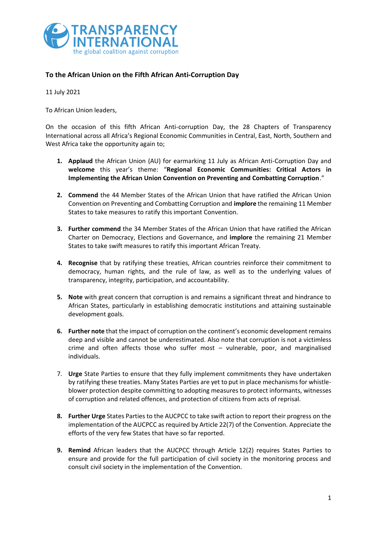

## **To the African Union on the Fifth African Anti-Corruption Day**

11 July 2021

To African Union leaders,

On the occasion of this fifth African Anti-corruption Day, the 28 Chapters of Transparency International across all Africa's Regional Economic Communities in Central, East, North, Southern and West Africa take the opportunity again to;

- **1. Applaud** the African Union (AU) for earmarking 11 July as African Anti-Corruption Day and **welcome** this year's theme: "**Regional Economic Communities: Critical Actors in Implementing the African Union Convention on Preventing and Combatting Corruption**."
- **2. Commend** the 44 Member States of the African Union that have ratified the African Union Convention on Preventing and Combatting Corruption and **implore** the remaining 11 Member States to take measures to ratify this important Convention.
- **3. Further commend** the 34 Member States of the African Union that have ratified the African Charter on Democracy, Elections and Governance, and **implore** the remaining 21 Member States to take swift measures to ratify this important African Treaty.
- **4. Recognise** that by ratifying these treaties, African countries reinforce their commitment to democracy, human rights, and the rule of law, as well as to the underlying values of transparency, integrity, participation, and accountability.
- **5. Note** with great concern that corruption is and remains a significant threat and hindrance to African States, particularly in establishing democratic institutions and attaining sustainable development goals.
- **6. Further note** that the impact of corruption on the continent's economic development remains deep and visible and cannot be underestimated. Also note that corruption is not a victimless crime and often affects those who suffer most – vulnerable, poor, and marginalised individuals.
- 7. **Urge** State Parties to ensure that they fully implement commitments they have undertaken by ratifying these treaties. Many States Parties are yet to put in place mechanisms for whistleblower protection despite committing to adopting measures to protect informants, witnesses of corruption and related offences, and protection of citizens from acts of reprisal.
- **8. Further Urge** States Parties to the AUCPCC to take swift action to report their progress on the implementation of the AUCPCC as required by Article 22(7) of the Convention. Appreciate the efforts of the very few States that have so far reported.
- **9. Remind** African leaders that the AUCPCC through Article 12(2) requires States Parties to ensure and provide for the full participation of civil society in the monitoring process and consult civil society in the implementation of the Convention.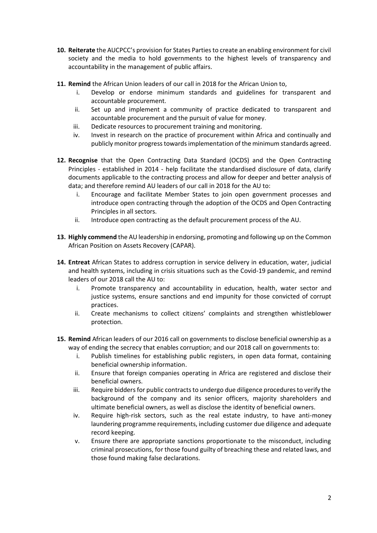- **10. Reiterate** the AUCPCC's provision for States Parties to create an enabling environment for civil society and the media to hold governments to the highest levels of transparency and accountability in the management of public affairs.
- **11. Remind** the African Union leaders of our call in 2018 for the African Union to,
	- i. Develop or endorse minimum standards and guidelines for transparent and accountable procurement.
	- ii. Set up and implement a community of practice dedicated to transparent and accountable procurement and the pursuit of value for money.
	- iii. Dedicate resources to procurement training and monitoring.
	- iv. Invest in research on the practice of procurement within Africa and continually and publicly monitor progress towards implementation of the minimum standards agreed.
- **12. Recognise** that the Open Contracting Data Standard (OCDS) and the Open Contracting Principles - established in 2014 - help facilitate the standardised disclosure of data, clarify documents applicable to the contracting process and allow for deeper and better analysis of data; and therefore remind AU leaders of our call in 2018 for the AU to:
	- i. Encourage and facilitate Member States to join open government processes and introduce open contracting through the adoption of the OCDS and Open Contracting Principles in all sectors.
	- ii. Introduce open contracting as the default procurement process of the AU.
- **13. Highly commend** the AU leadership in endorsing, promoting and following up on the Common African Position on Assets Recovery (CAPAR).
- **14. Entreat** African States to address corruption in service delivery in education, water, judicial and health systems, including in crisis situations such as the Covid-19 pandemic, and remind leaders of our 2018 call the AU to:
	- i. Promote transparency and accountability in education, health, water sector and justice systems, ensure sanctions and end impunity for those convicted of corrupt practices.
	- ii. Create mechanisms to collect citizens' complaints and strengthen whistleblower protection.
- **15. Remind** African leaders of our 2016 call on governments to disclose beneficial ownership as a way of ending the secrecy that enables corruption; and our 2018 call on governments to:
	- i. Publish timelines for establishing public registers, in open data format, containing beneficial ownership information.
	- ii. Ensure that foreign companies operating in Africa are registered and disclose their beneficial owners.
	- iii. Require bidders for public contracts to undergo due diligence procedures to verify the background of the company and its senior officers, majority shareholders and ultimate beneficial owners, as well as disclose the identity of beneficial owners.
	- iv. Require high-risk sectors, such as the real estate industry, to have anti-money laundering programme requirements, including customer due diligence and adequate record keeping.
	- v. Ensure there are appropriate sanctions proportionate to the misconduct, including criminal prosecutions, for those found guilty of breaching these and related laws, and those found making false declarations.